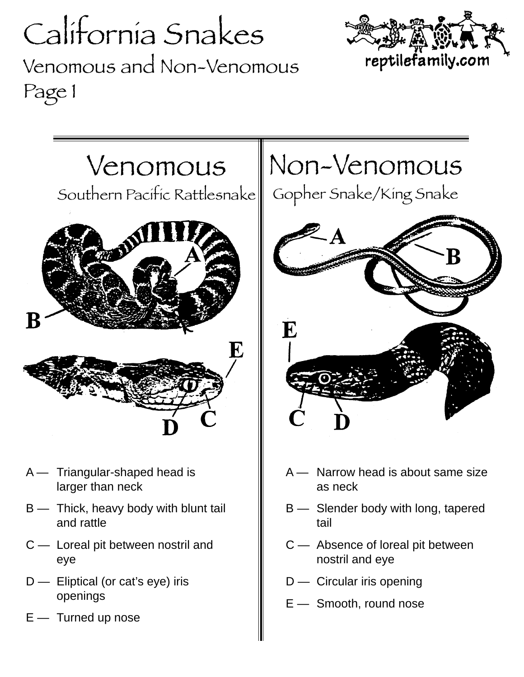## California Snakes Venomous and Non-Venomous Page 1





- A Triangular-shaped head is larger than neck
- B Thick, heavy body with blunt tail and rattle
- C Loreal pit between nostril and eye
- D Eliptical (or cat's eye) iris openings
- E Turned up nose

## Non-Venomous

Gopher Snake/King Snake



- A Narrow head is about same size as neck
- B Slender body with long, tapered tail
- C Absence of loreal pit between nostril and eye
- D Circular iris opening
- E Smooth, round nose